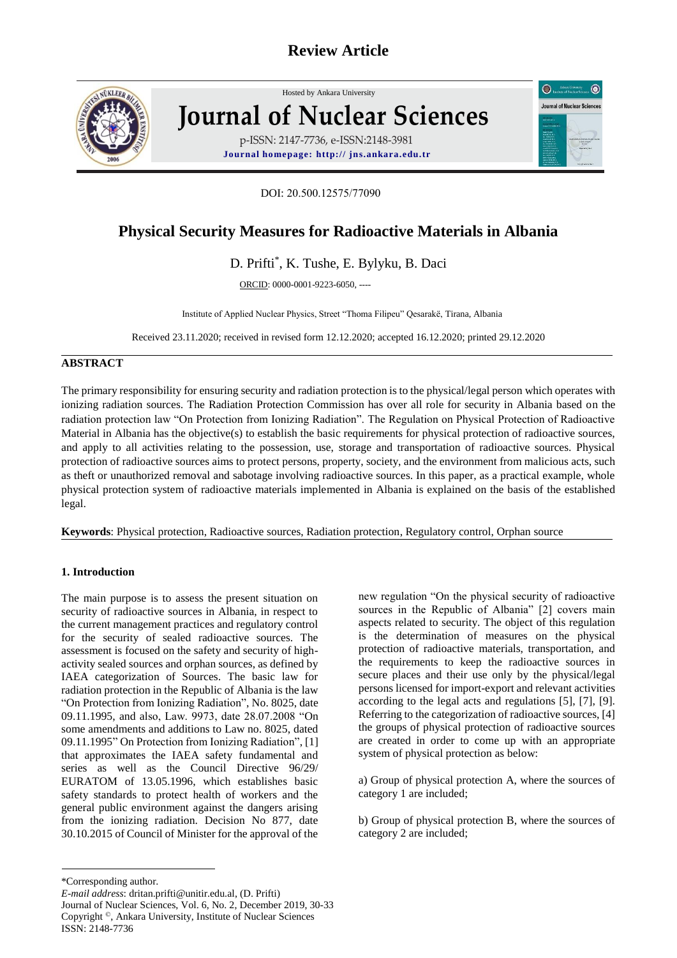

# Hosted by Ankara Unive[rsity](http://www.sciencedirect.com/science/journal/01678809) **Journal of Nuclear Sciences** p-ISSN: 2147-7736, e-ISSN:2148-3981 **Journal homepage: http:// jns.ankara.edu.tr**

DOI: 20.500.12575/77090

# **Physical Security Measures for Radioactive Materials in Albania**

## D. Prifti\* , K. Tushe, E. Bylyku, B. Daci

ORCID: 0000-0001-9223-6050, ----

Institute of Applied Nuclear Physics, Street "Thoma Filipeu" Qesarakë, Tirana, Albania

Received 23.11.2020; received in revised form 12.12.2020; accepted 16.12.2020; printed 29.12.2020

### **ABSTRACT**

The primary responsibility for ensuring security and radiation protection is to the physical/legal person which operates with ionizing radiation sources. The Radiation Protection Commission has over all role for security in Albania based on the radiation protection law "On Protection from Ionizing Radiation". The Regulation on Physical Protection of Radioactive Material in Albania has the objective(s) to establish the basic requirements for physical protection of radioactive sources, and apply to all activities relating to the possession, use, storage and transportation of radioactive sources. Physical protection of radioactive sources aims to protect persons, property, society, and the environment from malicious acts, such as theft or unauthorized removal and sabotage involving radioactive sources. In this paper, as a practical example, whole physical protection system of radioactive materials implemented in Albania is explained on the basis of the established legal.

**Keywords**: Physical protection, Radioactive sources, Radiation protection, Regulatory control, Orphan source

### **1. Introduction**

The main purpose is to assess the present situation on security of radioactive sources in Albania, in respect to the current management practices and regulatory control for the security of sealed radioactive sources. The assessment is focused on the safety and security of highactivity sealed sources and orphan sources, as defined by IAEA categorization of Sources. The basic law for radiation protection in the Republic of Albania is the law "On Protection from Ionizing Radiation", No. 8025, date 09.11.1995, and also, Law. 9973, date 28.07.2008 "On some amendments and additions to Law no. 8025, dated 09.11.1995" On Protection from Ionizing Radiation", [1] that approximates the IAEA safety fundamental and series as well as the Council Directive 96/29/ EURATOM of 13.05.1996, which establishes basic safety standards to protect health of workers and the general public environment against the dangers arising from the ionizing radiation. Decision No 877, date 30.10.2015 of Council of Minister for the approval of the

new regulation "On the physical security of radioactive sources in the Republic of Albania" [2] covers main aspects related to security. The object of this regulation is the determination of measures on the physical protection of radioactive materials, transportation, and the requirements to keep the radioactive sources in secure places and their use only by the physical/legal persons licensed for import-export and relevant activities according to the legal acts and regulations [5], [7], [9]. Referring to the categorization of radioactive sources, [4] the groups of physical protection of radioactive sources are created in order to come up with an appropriate system of physical protection as below:

 $\odot$ 

**Journal of Nuclear Science** 

 $\bullet$ 

a) Group of physical protection A, where the sources of category 1 are included;

b) Group of physical protection B, where the sources of category 2 are included;

<sup>\*</sup>Corresponding author.

*E-mail address*: dritan.prifti@unitir.edu.al, (D. Prifti) Journal of Nuclear Sciences, Vol. 6, No. 2, December 2019, 30-33 Copyright ©, Ankara University, Institute of Nuclear Sciences ISSN: 2148-7736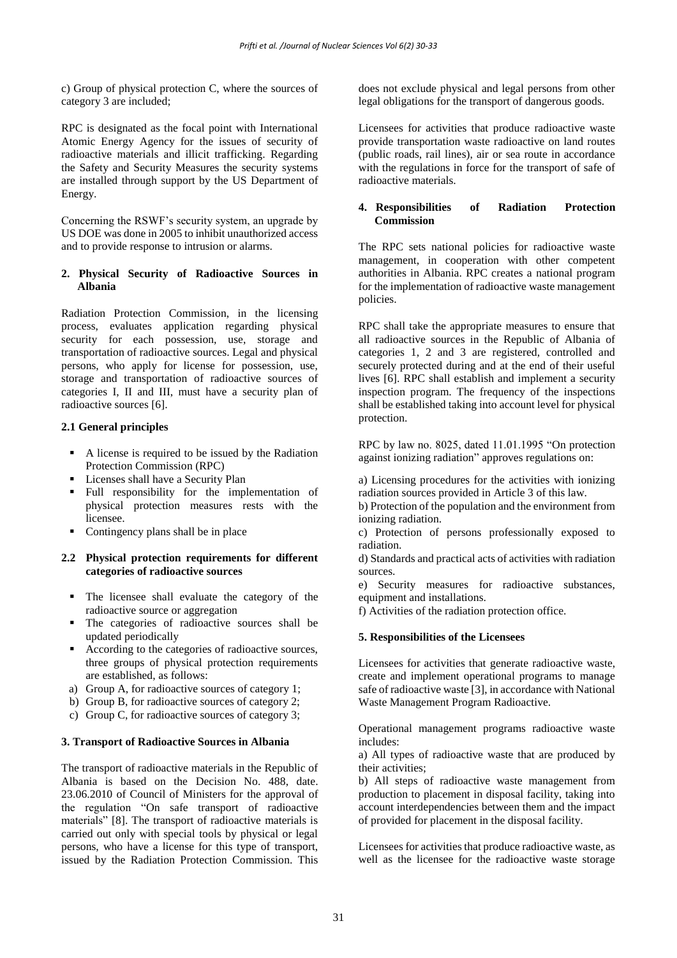c) Group of physical protection C, where the sources of category 3 are included;

RPC is designated as the focal point with International Atomic Energy Agency for the issues of security of radioactive materials and illicit trafficking. Regarding the Safety and Security Measures the security systems are installed through support by the US Department of Energy.

Concerning the RSWF's security system, an upgrade by US DOE was done in 2005 to inhibit unauthorized access and to provide response to intrusion or alarms.

#### **2. Physical Security of Radioactive Sources in Albania**

Radiation Protection Commission, in the licensing process, evaluates application regarding physical security for each possession, use, storage and transportation of radioactive sources. Legal and physical persons, who apply for license for possession, use, storage and transportation of radioactive sources of categories I, II and III, must have a security plan of radioactive sources [6].

#### **2.1 General principles**

- A license is required to be issued by the Radiation Protection Commission (RPC)
- **Licenses shall have a Security Plan**
- Full responsibility for the implementation of physical protection measures rests with the licensee.
- Contingency plans shall be in place

#### **2.2 Physical protection requirements for different categories of radioactive sources**

- The licensee shall evaluate the category of the radioactive source or aggregation
- The categories of radioactive sources shall be updated periodically
- According to the categories of radioactive sources, three groups of physical protection requirements are established, as follows:
- a) Group A, for radioactive sources of category 1;
- b) Group B, for radioactive sources of category 2;
- c) Group C, for radioactive sources of category 3;

#### **3. Transport of Radioactive Sources in Albania**

The transport of radioactive materials in the Republic of Albania is based on the Decision No. 488, date. 23.06.2010 of Council of Ministers for the approval of the regulation "On safe transport of radioactive materials" [8]. The transport of radioactive materials is carried out only with special tools by physical or legal persons, who have a license for this type of transport, issued by the Radiation Protection Commission. This does not exclude physical and legal persons from other legal obligations for the transport of dangerous goods.

Licensees for activities that produce radioactive waste provide transportation waste radioactive on land routes (public roads, rail lines), air or sea route in accordance with the regulations in force for the transport of safe of radioactive materials.

#### **4.,,,Responsibilities of Radiation Protection Commission**

The RPC sets national policies for radioactive waste management, in cooperation with other competent authorities in Albania. RPC creates a national program for the implementation of radioactive waste management policies.

RPC shall take the appropriate measures to ensure that all radioactive sources in the Republic of Albania of categories 1, 2 and 3 are registered, controlled and securely protected during and at the end of their useful lives [6]. RPC shall establish and implement a security inspection program. The frequency of the inspections shall be established taking into account level for physical protection.

RPC by law no. 8025, dated 11.01.1995 "On protection against ionizing radiation" approves regulations on:

a) Licensing procedures for the activities with ionizing radiation sources provided in Article 3 of this law.

b) Protection of the population and the environment from ionizing radiation.

c) Protection of persons professionally exposed to radiation.

d) Standards and practical acts of activities with radiation sources.

e) Security measures for radioactive substances, equipment and installations.

f) Activities of the radiation protection office.

#### **5. Responsibilities of the Licensees**

Licensees for activities that generate radioactive waste, create and implement operational programs to manage safe of radioactive waste [3], in accordance with National Waste Management Program Radioactive.

Operational management programs radioactive waste includes:

a) All types of radioactive waste that are produced by their activities;

b) All steps of radioactive waste management from production to placement in disposal facility, taking into account interdependencies between them and the impact of provided for placement in the disposal facility.

Licensees for activities that produce radioactive waste, as well as the licensee for the radioactive waste storage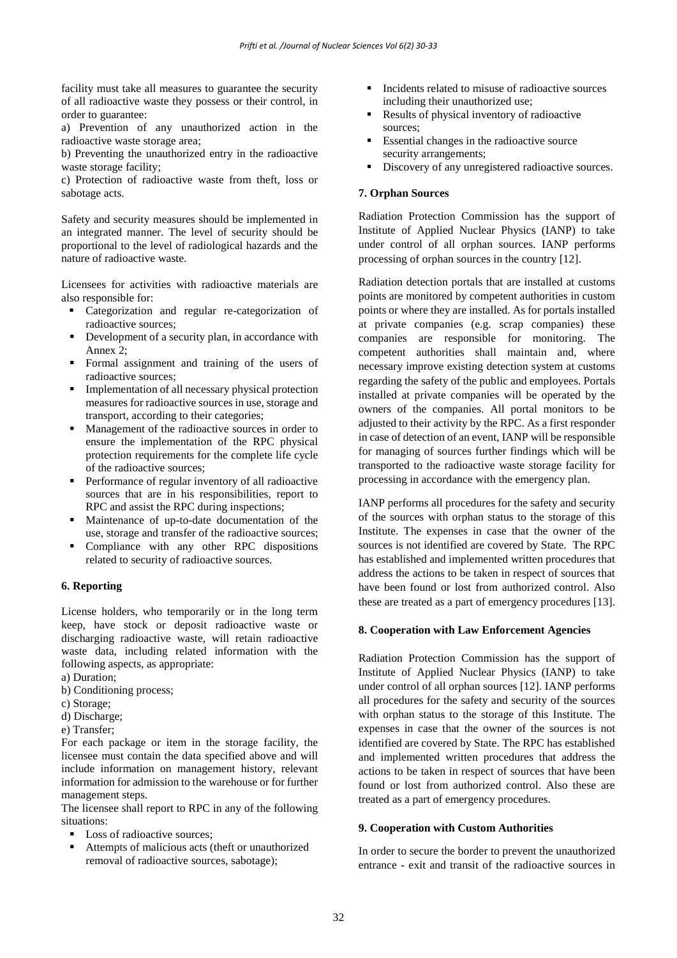facility must take all measures to guarantee the security of all radioactive waste they possess or their control, in order to guarantee:

a) Prevention of any unauthorized action in the radioactive waste storage area;

b) Preventing the unauthorized entry in the radioactive waste storage facility;

c) Protection of radioactive waste from theft, loss or sabotage acts.

Safety and security measures should be implemented in an integrated manner. The level of security should be proportional to the level of radiological hazards and the nature of radioactive waste.

Licensees for activities with radioactive materials are also responsible for:

- Categorization and regular re-categorization of radioactive sources;
- Development of a security plan, in accordance with Annex 2;
- Formal assignment and training of the users of radioactive sources;
- **Implementation of all necessary physical protection** measures for radioactive sources in use, storage and transport, according to their categories;
- Management of the radioactive sources in order to ensure the implementation of the RPC physical protection requirements for the complete life cycle of the radioactive sources;
- Performance of regular inventory of all radioactive sources that are in his responsibilities, report to RPC and assist the RPC during inspections;
- Maintenance of up-to-date documentation of the use, storage and transfer of the radioactive sources;
- Compliance with any other RPC dispositions related to security of radioactive sources.

#### **6. Reporting**

License holders, who temporarily or in the long term keep, have stock or deposit radioactive waste or discharging radioactive waste, will retain radioactive waste data, including related information with the following aspects, as appropriate:

- a) Duration;
- b) Conditioning process;
- c) Storage;
- d) Discharge;
- e) Transfer;

For each package or item in the storage facility, the licensee must contain the data specified above and will include information on management history, relevant information for admission to the warehouse or for further management steps.

The licensee shall report to RPC in any of the following situations:

- Loss of radioactive sources:
- Attempts of malicious acts (theft or unauthorized removal of radioactive sources, sabotage);
- Incidents related to misuse of radioactive sources including their unauthorized use;
- Results of physical inventory of radioactive sources;
- Essential changes in the radioactive source security arrangements;
- Discovery of any unregistered radioactive sources.

#### **7. Orphan Sources**

Radiation Protection Commission has the support of Institute of Applied Nuclear Physics (IANP) to take under control of all orphan sources. IANP performs processing of orphan sources in the country [12].

Radiation detection portals that are installed at customs points are monitored by competent authorities in custom points or where they are installed. As for portals installed at private companies (e.g. scrap companies) these companies are responsible for monitoring. The competent authorities shall maintain and, where necessary improve existing detection system at customs regarding the safety of the public and employees. Portals installed at private companies will be operated by the owners of the companies. All portal monitors to be adjusted to their activity by the RPC. As a first responder in case of detection of an event, IANP will be responsible for managing of sources further findings which will be transported to the radioactive waste storage facility for processing in accordance with the emergency plan.

IANP performs all procedures for the safety and security of the sources with orphan status to the storage of this Institute. The expenses in case that the owner of the sources is not identified are covered by State. The RPC has established and implemented written procedures that address the actions to be taken in respect of sources that have been found or lost from authorized control. Also these are treated as a part of emergency procedures [13].

#### **8. Cooperation with Law Enforcement Agencies**

Radiation Protection Commission has the support of Institute of Applied Nuclear Physics (IANP) to take under control of all orphan sources [12]. IANP performs all procedures for the safety and security of the sources with orphan status to the storage of this Institute. The expenses in case that the owner of the sources is not identified are covered by State. The RPC has established and implemented written procedures that address the actions to be taken in respect of sources that have been found or lost from authorized control. Also these are treated as a part of emergency procedures.

#### **9. Cooperation with Custom Authorities**

In order to secure the border to prevent the unauthorized entrance - exit and transit of the radioactive sources in